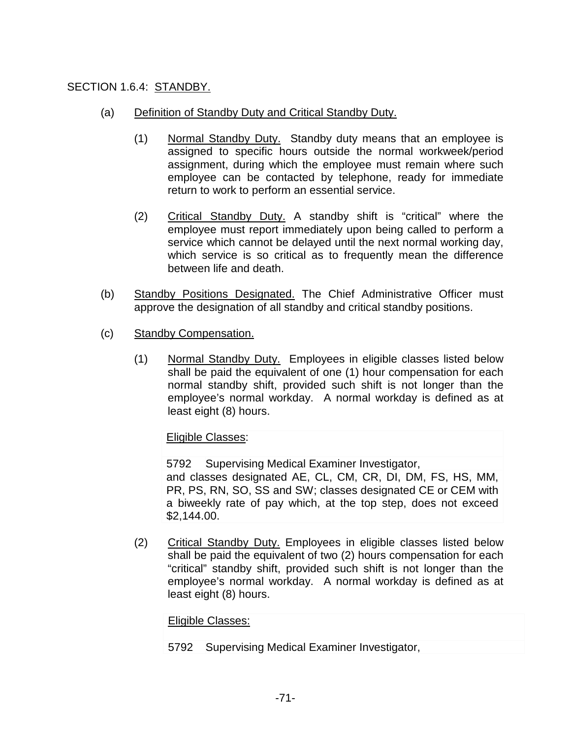## SECTION 1.6.4: STANDBY.

- (a) Definition of Standby Duty and Critical Standby Duty.
	- (1) Normal Standby Duty. Standby duty means that an employee is assigned to specific hours outside the normal workweek/period assignment, during which the employee must remain where such employee can be contacted by telephone, ready for immediate return to work to perform an essential service.
	- (2) Critical Standby Duty. A standby shift is "critical" where the employee must report immediately upon being called to perform a service which cannot be delayed until the next normal working day, which service is so critical as to frequently mean the difference between life and death.
- (b) Standby Positions Designated. The Chief Administrative Officer must approve the designation of all standby and critical standby positions.
- (c) Standby Compensation.
	- (1) Normal Standby Duty. Employees in eligible classes listed below shall be paid the equivalent of one (1) hour compensation for each normal standby shift, provided such shift is not longer than the employee's normal workday. A normal workday is defined as at least eight (8) hours.

## Eligible Classes:

5792 Supervising Medical Examiner Investigator, and classes designated AE, CL, CM, CR, DI, DM, FS, HS, MM, PR, PS, RN, SO, SS and SW; classes designated CE or CEM with a biweekly rate of pay which, at the top step, does not exceed \$2,144.00.

(2) Critical Standby Duty. Employees in eligible classes listed below shall be paid the equivalent of two (2) hours compensation for each "critical" standby shift, provided such shift is not longer than the employee's normal workday. A normal workday is defined as at least eight (8) hours.

## Eligible Classes:

5792 Supervising Medical Examiner Investigator,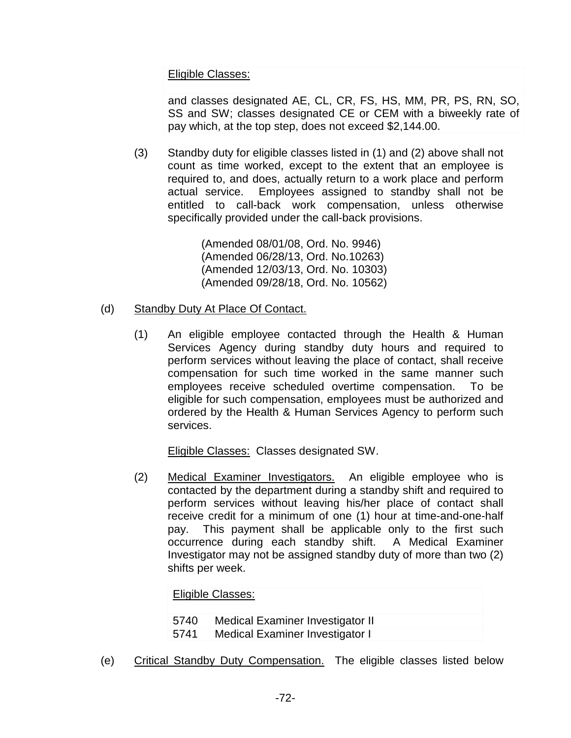Eligible Classes:

and classes designated AE, CL, CR, FS, HS, MM, PR, PS, RN, SO, SS and SW; classes designated CE or CEM with a biweekly rate of pay which, at the top step, does not exceed \$2,144.00.

(3) Standby duty for eligible classes listed in (1) and (2) above shall not count as time worked, except to the extent that an employee is required to, and does, actually return to a work place and perform actual service. Employees assigned to standby shall not be entitled to call-back work compensation, unless otherwise specifically provided under the call-back provisions.

> (Amended 08/01/08, Ord. No. 9946) (Amended 06/28/13, Ord. No.10263) (Amended 12/03/13, Ord. No. 10303) (Amended 09/28/18, Ord. No. 10562)

- (d) Standby Duty At Place Of Contact.
	- (1) An eligible employee contacted through the Health & Human Services Agency during standby duty hours and required to perform services without leaving the place of contact, shall receive compensation for such time worked in the same manner such employees receive scheduled overtime compensation. To be eligible for such compensation, employees must be authorized and ordered by the Health & Human Services Agency to perform such services.

Eligible Classes: Classes designated SW.

(2) Medical Examiner Investigators. An eligible employee who is contacted by the department during a standby shift and required to perform services without leaving his/her place of contact shall receive credit for a minimum of one (1) hour at time-and-one-half pay. This payment shall be applicable only to the first such occurrence during each standby shift. A Medical Examiner Investigator may not be assigned standby duty of more than two (2) shifts per week.

| Eligible Classes: |                                  |  |  |  |
|-------------------|----------------------------------|--|--|--|
| 5740              | Medical Examiner Investigator II |  |  |  |
| 5741              | Medical Examiner Investigator I  |  |  |  |

(e) Critical Standby Duty Compensation. The eligible classes listed below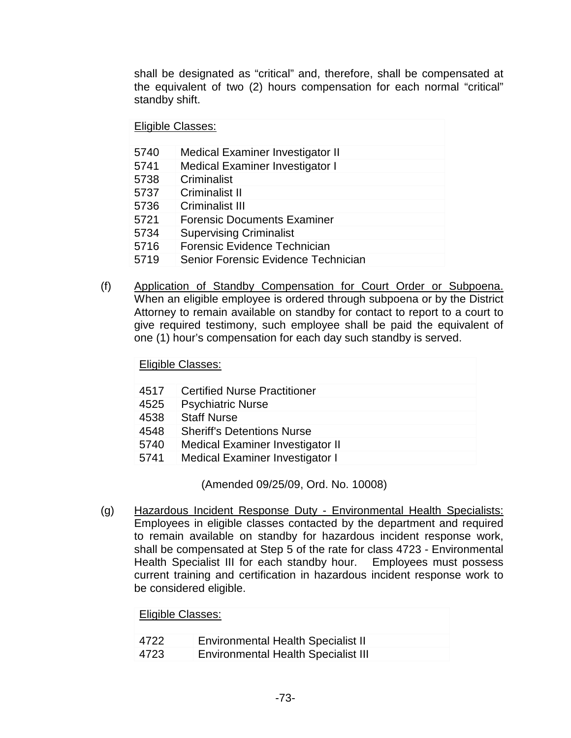shall be designated as "critical" and, therefore, shall be compensated at the equivalent of two (2) hours compensation for each normal "critical" standby shift.

Eligible Classes:

| 5740 | <b>Medical Examiner Investigator II</b> |
|------|-----------------------------------------|
| 5741 | <b>Medical Examiner Investigator I</b>  |
| 5738 | Criminalist                             |
| 5737 | <b>Criminalist II</b>                   |
| 5736 | Criminalist III                         |
| 5721 | <b>Forensic Documents Examiner</b>      |
| 5734 | <b>Supervising Criminalist</b>          |
| 5716 | Forensic Evidence Technician            |
| 5719 | Senior Forensic Evidence Technician     |

(f) Application of Standby Compensation for Court Order or Subpoena. When an eligible employee is ordered through subpoena or by the District Attorney to remain available on standby for contact to report to a court to give required testimony, such employee shall be paid the equivalent of one (1) hour's compensation for each day such standby is served.

Eligible Classes:

| 4517 | <b>Certified Nurse Practitioner</b>     |
|------|-----------------------------------------|
| 4525 | <b>Psychiatric Nurse</b>                |
| 4538 | <b>Staff Nurse</b>                      |
| 4548 | <b>Sheriff's Detentions Nurse</b>       |
| 5740 | <b>Medical Examiner Investigator II</b> |
| 5741 | Medical Examiner Investigator I         |

(Amended 09/25/09, Ord. No. 10008)

(g) Hazardous Incident Response Duty - Environmental Health Specialists: Employees in eligible classes contacted by the department and required to remain available on standby for hazardous incident response work, shall be compensated at Step 5 of the rate for class 4723 - Environmental Health Specialist III for each standby hour. Employees must possess current training and certification in hazardous incident response work to be considered eligible.

| Eligible Classes: |                                            |  |  |  |
|-------------------|--------------------------------------------|--|--|--|
| 4722              | <b>Environmental Health Specialist II</b>  |  |  |  |
| 4723              | <b>Environmental Health Specialist III</b> |  |  |  |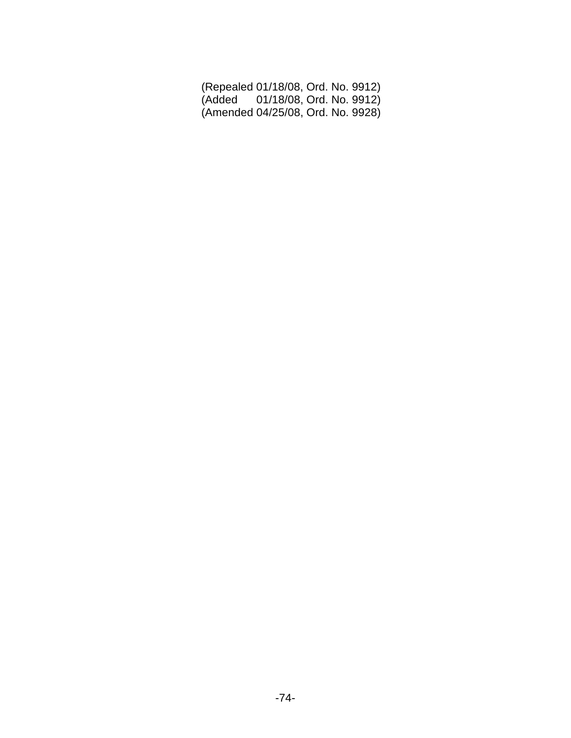| (Repealed 01/18/08, Ord. No. 9912) |  |  |
|------------------------------------|--|--|
| (Added 01/18/08, Ord. No. 9912)    |  |  |
| (Amended 04/25/08, Ord. No. 9928)  |  |  |